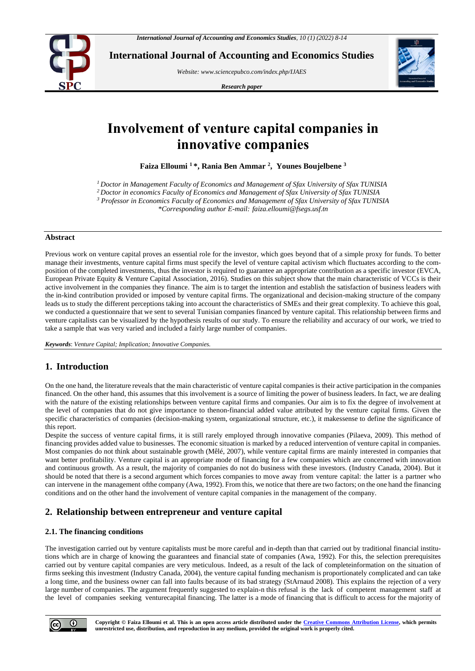

**International Journal of Accounting and Economics Studies**

*Website[: www.sciencepubco.com/index.php/IJAES](http://www.sciencepubco.com/index.php/IJAES)*

*Research paper*



# **Involvement of venture capital companies in innovative companies**

**Faiza Elloumi <sup>1</sup> \*, Rania Ben Ammar <sup>2</sup> , Younes Boujelbene 3**

*<sup>1</sup> Doctor in Management Faculty of Economics and Management of Sfax University of Sfax TUNISIA*

*<sup>2</sup> Doctor in economics Faculty of Economics and Management of Sfax University of Sfax TUNISIA*

*<sup>3</sup> Professor in Economics Faculty of Economics and Management of Sfax University of Sfax TUNISIA*

*\*Corresponding author E-mail: faiza.elloumi@fsegs.usf.tn*

#### **Abstract**

Previous work on venture capital proves an essential role for the investor, which goes beyond that of a simple proxy for funds. To better manage their investments, venture capital firms must specify the level of venture capital activism which fluctuates according to the composition of the completed investments, thus the investor is required to guarantee an appropriate contribution as a specific investor (EVCA, European Private Equity & Venture Capital Association, 2016). Studies on this subject show that the main characteristic of VCCs is their active involvement in the companies they finance. The aim is to target the intention and establish the satisfaction of business leaders with the in-kind contribution provided or imposed by venture capital firms. The organizational and decision-making structure of the company leads us to study the different perceptions taking into account the characteristics of SMEs and their great complexity. To achieve this goal, we conducted a questionnaire that we sent to several Tunisian companies financed by venture capital. This relationship between firms and venture capitalists can be visualized by the hypothesis results of our study. To ensure the reliability and accuracy of our work, we tried to take a sample that was very varied and included a fairly large number of companies.

*Keywords*: *Venture Capital; Implication; Innovative Companies.*

# **1. Introduction**

On the one hand, the literature reveals that the main characteristic of venture capital companies is their active participation in the companies financed. On the other hand, this assumes that this involvement is a source of limiting the power of business leaders. In fact, we are dealing with the nature of the existing relationships between venture capital firms and companies. Our aim is to fix the degree of involvement at the level of companies that do not give importance to thenon-financial added value attributed by the venture capital firms. Given the specific characteristics of companies (decision-making system, organizational structure, etc.), it makessense to define the significance of this report.

Despite the success of venture capital firms, it is still rarely employed through innovative companies (Pilaeva, 2009). This method of financing provides added value to businesses. The economic situation is marked by a reduced intervention of venture capital in companies. Most companies do not think about sustainable growth (Mêlé, 2007), while venture capital firms are mainly interested in companies that want better profitability. Venture capital is an appropriate mode of financing for a few companies which are concerned with innovation and continuous growth. As a result, the majority of companies do not do business with these investors. (Industry Canada, 2004). But it should be noted that there is a second argument which forces companies to move away from venture capital: the latter is a partner who can intervene in the management ofthe company (Awa, 1992). From this, we notice that there are two factors; on the one hand the financing conditions and on the other hand the involvement of venture capital companies in the management of the company.

# **2. Relationship between entrepreneur and venture capital**

# **2.1. The financing conditions**

The investigation carried out by venture capitalists must be more careful and in-depth than that carried out by traditional financial institutions which are in charge of knowing the guarantees and financial state of companies (Awa, 1992). For this, the selection prerequisites carried out by venture capital companies are very meticulous. Indeed, as a result of the lack of completeinformation on the situation of firms seeking this investment (Industry Canada, 2004), the venture capital funding mechanism is proportionately complicated and can take a long time, and the business owner can fall into faults because of its bad strategy (StArnaud 2008). This explains the rejection of a very large number of companies. The argument frequently suggested to explain-n this refusal is the lack of competent management staff at the level of companies seeking venturecapital financing. The latter is a mode of financing that is difficult to access for the majority of

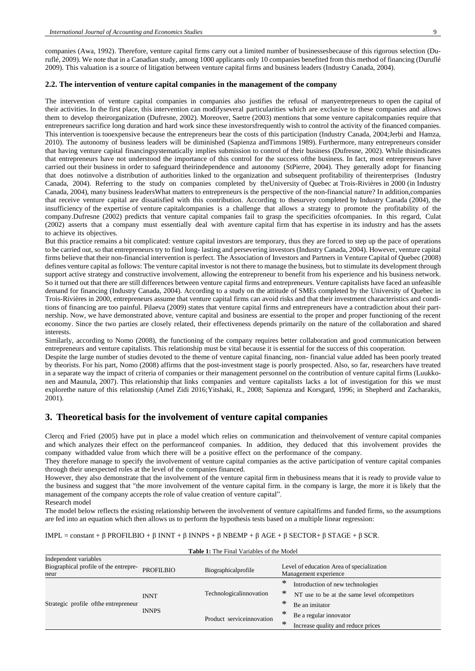companies (Awa, 1992). Therefore, venture capital firms carry out a limited number of businessesbecause of this rigorous selection (Duruflé, 2009). We note that in a Canadian study, among 1000 applicants only 10 companies benefited from this method of financing (Duruflé 2009). This valuation is a source of litigation between venture capital firms and business leaders (Industry Canada, 2004).

## **2.2. The intervention of venture capital companies in the management of the company**

The intervention of venture capital companies in companies also justifies the refusal of manyentrepreneurs to open the capital of their activities. In the first place, this intervention can modifyseveral particularities which are exclusive to these companies and allows them to develop theirorganization (Dufresne, 2002). Moreover, Saetre (2003) mentions that some venture capitalcompanies require that entrepreneurs sacrifice long duration and hard work since these investorsfrequently wish to control the activity of the financed companies. This intervention is tooexpensive because the entrepreneurs bear the costs of this participation (Industry Canada, 2004;Jerbi and Hamza, 2010). The autonomy of business leaders will be diminished (Sapienza andTimmons 1989). Furthermore, many entrepreneurs consider that having venture capital financingsystematically implies submission to control of their business (Dufresne, 2002). While thisindicates that entrepreneurs have not understood the importance of this control for the success ofthe business. In fact, most entrepreneurs have carried out their business in order to safeguard theirindependence and autonomy (StPierre, 2004). They generally adopt for financing that does notinvolve a distribution of authorities linked to the organization and subsequent profitability of theirenterprises (Industry Canada, 2004). Referring to the study on companies completed by theUniversity of Quebec at Trois-Rivières in 2000 (in Industry Canada, 2004), many business leadersWhat matters to entrepreneurs is the perspective of the non-financial nature? In addition,companies that receive venture capital are dissatisfied with this contribution. According to thesurvey completed by Industry Canada (2004), the insufficiency of the expertise of venture capitalcompanies is a challenge that allows a strategy to promote the profitability of the company.Dufresne (2002) predicts that venture capital companies fail to grasp the specificities ofcompanies. In this regard, Culat (2002) asserts that a company must essentially deal with aventure capital firm that has expertise in its industry and has the assets to achieve its objectives.

But this practice remains a bit complicated: venture capital investors are temporary, thus they are forced to step up the pace of operations to be carried out, so that entrepreneurs try to find long- lasting and persevering investors (Industry Canada, 2004). However, venture capital firms believe that their non-financial intervention is perfect. The Association of Investors and Partners in Venture Capital of Quebec (2008) defines venture capital as follows: The venture capital investor is not there to manage the business, but to stimulate its development through support active strategy and constructive involvement, allowing the entrepreneur to benefit from his experience and his business network. So it turned out that there are still differences between venture capital firms and entrepreneurs. Venture capitalists have faced an unfeasible demand for financing (Industry Canada, 2004). According to a study on the attitude of SMEs completed by the University of Quebec in Trois-Rivières in 2000, entrepreneurs assume that venture capital firms can avoid risks and that their investment characteristics and conditions of financing are too painful. Pilaeva (2009) states that venture capital firms and entrepreneurs have a contradiction about their partnership. Now, we have demonstrated above, venture capital and business are essential to the proper and proper functioning of the recent economy. Since the two parties are closely related, their effectiveness depends primarily on the nature of the collaboration and shared interests.

Similarly, according to Nomo (2008), the functioning of the company requires better collaboration and good communication between entrepreneurs and venture capitalists. This relationship must be vital because it is essential for the success of this cooperation.

Despite the large number of studies devoted to the theme of venture capital financing, non- financial value added has been poorly treated by theorists. For his part, Nomo (2008) affirms that the post-investment stage is poorly prospected. Also, so far, researchers have treated in a separate way the impact of criteria of companies or their management personnel on the contribution of venture capital firms (Luukkonen and Maunula, 2007). This relationship that links companies and venture capitalists lacks a lot of investigation for this we must explorethe nature of this relationship (Amel Zidi 2016[;Yitshaki, R.,](https://www.emerald.com/insight/search?q=Ronit%20Yitshaki) 2008; Sapienza and Korsgard, 1996; in Shepherd and Zacharakis, 2001).

# **3. Theoretical basis for the involvement of venture capital companies**

Clercq and Fried (2005) have put in place a model which relies on communication and theinvolvement of venture capital companies and which analyzes their effect on the performanceof companies. In addition, they deduced that this involvement provides the company withadded value from which there will be a positive effect on the performance of the company.

They therefore manage to specify the involvement of venture capital companies as the active participation of venture capital companies through their unexpected roles at the level of the companies financed.

However, they also demonstrate that the involvement of the venture capital firm in thebusiness means that it is ready to provide value to the business and suggest that "the more involvement of the venture capital firm. in the company is large, the more it is likely that the management of the company accepts the role of value creation of venture capital". Research model

The model below reflects the existing relationship between the involvement of venture capitalfirms and funded firms, so the assumptions

IMPL = constant + β PROFILBIO + β INNT + β INNPS + β NBEMP + β AGE + β SECTOR+ β STAGE + β SCR.

are fed into an equation which then allows us to perform the hypothesis tests based on a multiple linear regression:

| <b>Table 1:</b> The Final Variables of the Model |                             |                           |                       |                                               |  |  |
|--------------------------------------------------|-----------------------------|---------------------------|-----------------------|-----------------------------------------------|--|--|
| Independent variables                            |                             |                           |                       |                                               |  |  |
| Biographical profile of the entrepre-            | PROFIL BIO                  | Biographicalprofile       |                       | Level of education Area of specialization     |  |  |
| neur                                             |                             |                           | Management experience |                                               |  |  |
| Strategic profile of the entrepreneur            | <b>INNT</b><br><b>INNPS</b> | Technologicalinnovation   | ∗                     | Introduction of new technologies              |  |  |
|                                                  |                             |                           | ∗                     | NT use to be at the same level of competitors |  |  |
|                                                  |                             |                           |                       | Be an imitator                                |  |  |
|                                                  |                             | Product serviceinnovation | ∗                     | Be a regular innovator                        |  |  |
|                                                  |                             |                           | ∗                     | Increase quality and reduce prices            |  |  |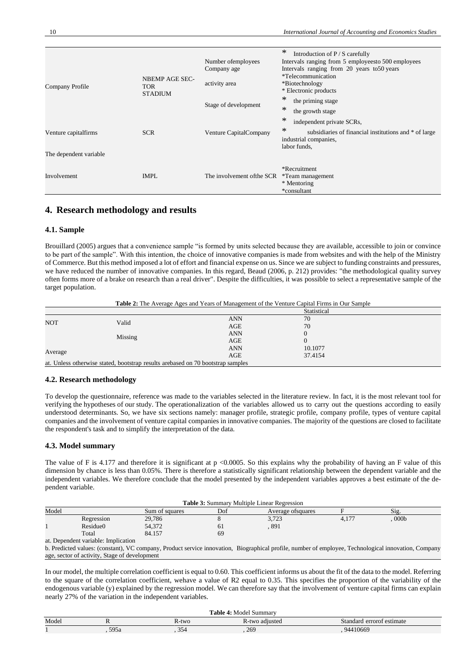| Company Profile                                | <b>NBEMP AGE SEC-</b><br><b>TOR</b><br><b>STADIUM</b> | Number of employees<br>Company age<br>activity area | ∗<br>Introduction of P / S carefully<br>Intervals ranging from 5 employees to 500 employees<br>Intervals ranging from 20 years to 50 years<br><i>*Telecommunication</i><br>*Biotechnology<br>* Electronic products |
|------------------------------------------------|-------------------------------------------------------|-----------------------------------------------------|--------------------------------------------------------------------------------------------------------------------------------------------------------------------------------------------------------------------|
|                                                |                                                       | Stage of development                                | ∗<br>the priming stage<br>∗<br>the growth stage                                                                                                                                                                    |
| Venture capitalfirms<br>The dependent variable | <b>SCR</b>                                            | Venture CapitalCompany                              | ∗<br>independent private SCRs,<br>$\ast$<br>subsidiaries of financial institutions and * of large<br>industrial companies,<br>labor funds,                                                                         |
| Involvement                                    | <b>IMPL</b>                                           | The involvement of the SCR                          | *Recruitment<br>*Team management<br>* Mentoring<br>*consultant                                                                                                                                                     |

# **4. Research methodology and results**

#### **4.1. Sample**

Brouillard (2005) argues that a convenience sample "is formed by units selected because they are available, accessible to join or convince to be part of the sample". With this intention, the choice of innovative companies is made from websites and with the help of the Ministry of Commerce. But this method imposed a lot of effort and financial expense on us. Since we are subject to funding constraints and pressures, we have reduced the number of innovative companies. In this regard, Beaud (2006, p. 212) provides: "the methodological quality survey often forms more of a brake on research than a real driver". Despite the difficulties, it was possible to select a representative sample of the target population.

**Table 2:** The Average Ages and Years of Management of the Venture Capital Firms in Our Sample

|                                                                                  |       |            | Statistical |  |
|----------------------------------------------------------------------------------|-------|------------|-------------|--|
| <b>NOT</b>                                                                       |       | <b>ANN</b> | 70          |  |
|                                                                                  | Valid | AGE        | 70          |  |
| Missing                                                                          |       | <b>ANN</b> |             |  |
|                                                                                  |       | AGE        |             |  |
|                                                                                  |       | <b>ANN</b> | 10.1077     |  |
| Average                                                                          |       | AGE        | 37.4154     |  |
| at. Unless otherwise stated, bootstrap results are based on 70 bootstrap samples |       |            |             |  |

#### **4.2. Research methodology**

To develop the questionnaire, reference was made to the variables selected in the literature review. In fact, it is the most relevant tool for verifying the hypotheses of our study. The operationalization of the variables allowed us to carry out the questions according to easily understood determinants. So, we have six sections namely: manager profile, strategic profile, company profile, types of venture capital companies and the involvement of venture capital companies in innovative companies. The majority of the questions are closed to facilitate the respondent's task and to simplify the interpretation of the data.

#### **4.3. Model summary**

The value of F is 4.177 and therefore it is significant at p <0.0005. So this explains why the probability of having an F value of this dimension by chance is less than 0.05%. There is therefore a statistically significant relationship between the dependent variable and the independent variables. We therefore conclude that the model presented by the independent variables approves a best estimate of the dependent variable.

| <b>Table 3:</b> Summary Multiple Linear Regression |            |                |     |                    |      |                  |  |
|----------------------------------------------------|------------|----------------|-----|--------------------|------|------------------|--|
| Model                                              |            | Sum of squares | Dof | Average of squares |      | Sig.             |  |
|                                                    | Regression | 29,786         |     | 2.722<br>3.123     | 4,17 | 000 <sub>b</sub> |  |
|                                                    | Residue0   | 54,372         | 01  | 891                |      |                  |  |
|                                                    | Total      | 84.157         | 69  |                    |      |                  |  |

at. Dependent variable: Implication

b. Predicted values: (constant), VC company, Product service innovation, Biographical profile, number of employee, Technological innovation, Company age, sector of activity, Stage of development

In our model, the multiple correlation coefficient is equal to 0.60. This coefficient informs us about the fit of the data to the model. Referring to the square of the correlation coefficient, wehave a value of R2 equal to 0.35. This specifies the proportion of the variability of the endogenous variable (y) explained by the regression model. We can therefore say that the involvement of venture capital firms can explain nearly 27% of the variation in the independent variables.

| "able ·<br>Model<br>Summary |      |       |                |                           |  |
|-----------------------------|------|-------|----------------|---------------------------|--|
| Model                       |      | R-two | R-two adjusted | Standard errorof estimate |  |
|                             | 595a | 354   | 269            | 94410669                  |  |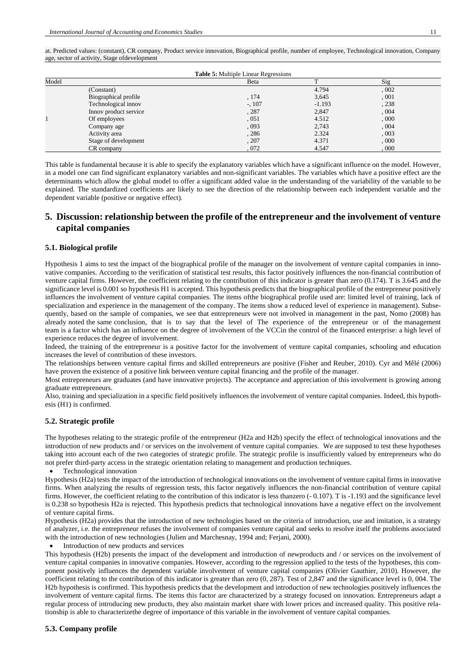| at. Predicted values: (constant), CR company, Product service innovation, Biographical profile, number of employee, Technological innovation, Company |
|-------------------------------------------------------------------------------------------------------------------------------------------------------|
| age, sector of activity, Stage of development                                                                                                         |
|                                                                                                                                                       |

|       |                       | <b>Table 5:</b> Multiple Linear Regressions |          |       |  |
|-------|-----------------------|---------------------------------------------|----------|-------|--|
| Model |                       | Beta                                        |          | Sig   |  |
|       | (Constant)            |                                             | 4.794    | ,002  |  |
|       | Biographical profile  | , 174                                       | 3,645    | , 001 |  |
|       | Technological innov   | $-$ , 107                                   | $-1.193$ | , 238 |  |
|       | Innov product service | , 287                                       | 2,847    | 0.004 |  |
|       | Of employees          | ,051                                        | 4.512    | ,000  |  |
|       | Company age           | , 093                                       | 2,743    | ,004  |  |
|       | Activity area         | , 286                                       | 2.324    | ,003  |  |
|       | Stage of development  | , 207                                       | 4.371    | ,000  |  |
|       | CR company            | 072                                         | 4.547    | ,000  |  |

This table is fundamental because it is able to specify the explanatory variables which have a significant influence on the model. However, in a model one can find significant explanatory variables and non-significant variables. The variables which have a positive effect are the determinants which allow the global model to offer a significant added value in the understanding of the variability of the variable to be explained. The standardized coefficients are likely to see the direction of the relationship between each independent variable and the dependent variable (positive or negative effect).

# **5. Discussion: relationship between the profile of the entrepreneur and the involvement of venture capital companies**

## **5.1. Biological profile**

Hypothesis 1 aims to test the impact of the biographical profile of the manager on the involvement of venture capital companies in innovative companies. According to the verification of statistical test results, this factor positively influences the non-financial contribution of venture capital firms. However, the coefficient relating to the contribution of this indicator is greater than zero (0.174). T is 3.645 and the significance level is 0.001 so hypothesis H1 is accepted. This hypothesis predicts that the biographical profile of the entrepreneur positively influences the involvement of venture capital companies. The items ofthe biographical profile used are: limited level of training, lack of specialization and experience in the management of the company. The items show a reduced level of experience in management). Subsequently, based on the sample of companies, we see that entrepreneurs were not involved in management in the past, Nomo (2008) has already noted the same conclusion, that is to say that the level of The experience of the entrepreneur or of the management team is a factor which has an influence on the degree of involvement of the VCCin the control of the financed enterprise: a high level of experience reduces the degree of involvement.

Indeed, the training of the entrepreneur is a positive factor for the involvement of venture capital companies, schooling and education increases the level of contribution of these investors.

The relationships between venture capital firms and skilled entrepreneurs are positive (Fisher and Reuber, 2010). Cyr and Mêlé (2006) have proven the existence of a positive link between venture capital financing and the profile of the manager.

Most entrepreneurs are graduates (and have innovative projects). The acceptance and appreciation of this involvement is growing among graduate entrepreneurs.

Also, training and specialization in a specific field positively influences the involvement of venture capital companies. Indeed, this hypothesis (H1) is confirmed.

## **5.2. Strategic profile**

The hypotheses relating to the strategic profile of the entrepreneur (H2a and H2b) specify the effect of technological innovations and the introduction of new products and / or services on the involvement of venture capital companies. We are supposed to test these hypotheses taking into account each of the two categories of strategic profile. The strategic profile is insufficiently valued by entrepreneurs who do not prefer third-party access in the strategic orientation relating to management and production techniques.

• Technological innovation

Hypothesis (H2a) tests the impact of the introduction of technological innovations on the involvement of venture capital firms in innovative firms. When analyzing the results of regression tests, this factor negatively influences the non-financial contribution of venture capital firms. However, the coefficient relating to the contribution of this indicator is less thanzero (- 0.107). T is -1.193 and the significance level is 0.238 so hypothesis H2a is rejected. This hypothesis predicts that technological innovations have a negative effect on the involvement of venture capital firms.

Hypothesis (H2a) provides that the introduction of new technologies based on the criteria of introduction, use and imitation, is a strategy of analyzer, i.e. the entrepreneur refuses the involvement of companies venture capital and seeks to resolve itself the problems associated with the introduction of new technologies (Julien and Marchesnay, 1994 and; Ferjani, 2000).

• Introduction of new products and services

This hypothesis (H2b) presents the impact of the development and introduction of newproducts and / or services on the involvement of venture capital companies in innovative companies. However, according to the regression applied to the tests of the hypotheses, this component positively influences the dependent variable involvement of venture capital companies (Olivier Gauthier, 2010). However, the coefficient relating to the contribution of this indicator is greater than zero (0, 287). Test of 2,847 and the significance level is 0, 004. The H2b hypothesis is confirmed. This hypothesis predicts that the development and introduction of new technologies positively influences the involvement of venture capital firms. The items this factor are characterized by a strategy focused on innovation. Entrepreneurs adapt a regular process of introducing new products, they also maintain market share with lower prices and increased quality. This positive relationship is able to characterizethe degree of importance of this variable in the involvement of venture capital companies.

## **5.3. Company profile**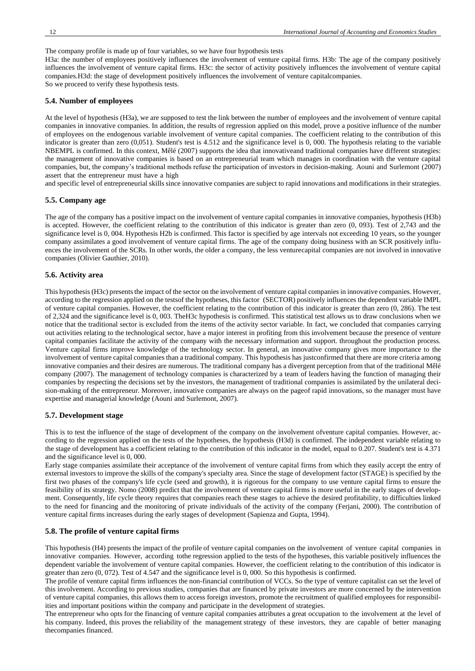The company profile is made up of four variables, so we have four hypothesis tests

H3a: the number of employees positively influences the involvement of venture capital firms. H3b: The age of the company positively influences the involvement of venture capital firms. H3c: the sector of activity positively influences the involvement of venture capital companies.H3d: the stage of development positively influences the involvement of venture capitalcompanies. So we proceed to verify these hypothesis tests.

#### **5.4. Number of employees**

At the level of hypothesis (H3a), we are supposed to test the link between the number of employees and the involvement of venture capital companies in innovative companies. In addition, the results of regression applied on this model, prove a positive influence of the number of employees on the endogenous variable involvement of venture capital companies. The coefficient relating to the contribution of this indicator is greater than zero (0,051). Student's test is 4.512 and the significance level is 0, 000. The hypothesis relating to the variable NBEMPL is confirmed. In this context, Mêlé (2007) supports the idea that innovativeand traditional companies have different strategies: the management of innovative companies is based on an entrepreneurial team which manages in coordination with the venture capital companies, but, the company's traditional methods refuse the participation of investors in decision-making. Aouni and Surlemont (2007) assert that the entrepreneur must have a high

and specific level of entrepreneurial skills since innovative companies are subject to rapid innovations and modifications in their strategies.

#### **5.5. Company age**

The age of the company has a positive impact on the involvement of venture capital companies in innovative companies, hypothesis (H3b) is accepted. However, the coefficient relating to the contribution of this indicator is greater than zero (0, 093). Test of 2,743 and the significance level is 0, 004. Hypothesis H2b is confirmed. This factor is specified by age intervals not exceeding 10 years, so the younger company assimilates a good involvement of venture capital firms. The age of the company doing business with an SCR positively influences the involvement of the SCRs. In other words, the older a company, the less venturecapital companies are not involved in innovative companies (Olivier Gauthier, 2010).

## **5.6. Activity area**

This hypothesis (H3c) presents the impact of the sector on the involvement of venture capital companies in innovative companies. However, according to the regression applied on the testsof the hypotheses, this factor (SECTOR) positively influences the dependent variable IMPL of venture capital companies. However, the coefficient relating to the contribution of this indicator is greater than zero (0, 286). The test of 2,324 and the significance level is 0, 003. TheH3c hypothesis is confirmed. This statistical test allows us to draw conclusions when we notice that the traditional sector is excluded from the items of the activity sector variable. In fact, we concluded that companies carrying out activities relating to the technological sector, have a major interest in profiting from this involvement because the presence of venture capital companies facilitate the activity of the company with the necessary information and support. throughout the production process. Venture capital firms improve knowledge of the technology sector. In general, an innovative company gives more importance to the involvement of venture capital companies than a traditional company. This hypothesis has justconfirmed that there are more criteria among innovative companies and their desires are numerous. The traditional company has a divergent perception from that of the traditional Mêlé company (2007). The management of technology companies is characterized by a team of leaders having the function of managing their companies by respecting the decisions set by the investors, the management of traditional companies is assimilated by the unilateral decision-making of the entrepreneur. Moreover, innovative companies are always on the pageof rapid innovations, so the manager must have expertise and managerial knowledge (Aouni and Surlemont, 2007).

## **5.7. Development stage**

This is to test the influence of the stage of development of the company on the involvement ofventure capital companies. However, according to the regression applied on the tests of the hypotheses, the hypothesis (H3d) is confirmed. The independent variable relating to the stage of development has a coefficient relating to the contribution of this indicator in the model, equal to 0.207. Student's test is 4.371 and the significance level is 0, 000.

Early stage companies assimilate their acceptance of the involvement of venture capital firms from which they easily accept the entry of external investors to improve the skills of the company's specialty area. Since the stage of development factor (STAGE) is specified by the first two phases of the company's life cycle (seed and growth), it is rigorous for the company to use venture capital firms to ensure the feasibility of its strategy. Nomo (2008) predict that the involvement of venture capital firms is more useful in the early stages of development. Consequently, life cycle theory requires that companies reach these stages to achieve the desired profitability, to difficulties linked to the need for financing and the monitoring of private individuals of the activity of the company (Ferjani, 2000). The contribution of venture capital firms increases during the early stages of development (Sapienza and Gupta, 1994).

#### **5.8. The profile of venture capital firms**

This hypothesis (H4) presents the impact of the profile of venture capital companies on the involvement of venture capital companies in innovative companies. However, according tothe regression applied to the tests of the hypotheses, this variable positively influences the dependent variable the involvement of venture capital companies. However, the coefficient relating to the contribution of this indicator is greater than zero (0, 072). Test of 4.547 and the significance level is 0, 000. So this hypothesis is confirmed.

The profile of venture capital firms influences the non-financial contribution of VCCs. So the type of venture capitalist can set the level of this involvement. According to previous studies, companies that are financed by private investors are more concerned by the intervention of venture capital companies, this allows them to access foreign investors, promote the recruitment of qualified employees for responsibilities and important positions within the company and participate in the development of strategies.

The entrepreneur who opts for the financing of venture capital companies attributes a great occupation to the involvement at the level of his company. Indeed, this proves the reliability of the management strategy of these investors, they are capable of better managing thecompanies financed.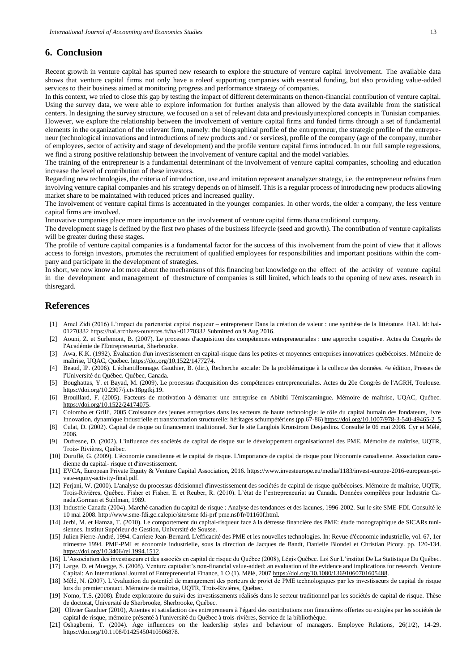# **6. Conclusion**

Recent growth in venture capital has spurred new research to explore the structure of venture capital involvement. The available data shows that venture capital firms not only have a roleof supporting companies with essential funding, but also providing value-added services to their business aimed at monitoring progress and performance strategy of companies.

In this context, we tried to close this gap by testing the impact of different determinants on thenon-financial contribution of venture capital. Using the survey data, we were able to explore information for further analysis than allowed by the data available from the statistical centers. In designing the survey structure, we focused on a set of relevant data and previouslyunexplored concepts in Tunisian companies. However, we explore the relationship between the involvement of venture capital firms and funded firms through a set of fundamental elements in the organization of the relevant firm, namely: the biographical profile of the entrepreneur, the strategic profile of the entrepreneur (technological innovations and introductions of new products and / or services), profile of the company (age of the company, number of employees, sector of activity and stage of development) and the profile venture capital firms introduced. In our full sample regressions, we find a strong positive relationship between the involvement of venture capital and the model variables.

The training of the entrepreneur is a fundamental determinant of the involvement of venture capital companies, schooling and education increase the level of contribution of these investors.

Regarding new technologies, the criteria of introduction, use and imitation represent ananalyzer strategy, i.e. the entrepreneur refrains from involving venture capital companies and his strategy depends on of himself. This is a regular process of introducing new products allowing market share to be maintained with reduced prices and increased quality.

The involvement of venture capital firms is accentuated in the younger companies. In other words, the older a company, the less venture capital firms are involved.

Innovative companies place more importance on the involvement of venture capital firms thana traditional company.

The development stage is defined by the first two phases of the business lifecycle (seed and growth). The contribution of venture capitalists will be greater during these stages.

The profile of venture capital companies is a fundamental factor for the success of this involvement from the point of view that it allows access to foreign investors, promotes the recruitment of qualified employees for responsibilities and important positions within the company and participate in the development of strategies.

In short, we now know a lot more about the mechanisms of this financing but knowledge on the effect of the activity of venture capital in the development and management of thestructure of companies is still limited, which leads to the opening of new axes. research in thisregard.

## **References**

- [1] Amel Zidi (2016) L'impact du partenariat capital risqueur entrepreneur Dans la création de valeur : une synthèse de la littérature. HAL Id: hal-01270332 https://hal.archives-ouvertes.fr/hal-01270332 Submitted on 9 Aug 2016.
- [2] Aouni, Z. et Surlemont, B. (2007). Le processus d'acquisition des compétences entrepreneuriales : une approche cognitive. Actes du Congrès de l'Académie de l'Entrepreneuriat, Sherbrooke.
- [3] Awa, K.K. (1992). Évaluation d'un investissement en capital-risque dans les petites et moyennes entreprises innovatrices québécoises. Mémoire de maîtrise, UQAC, Québec. [https://doi.org/10.1522/1477274.](https://doi.org/10.1522/1477274)
- [4] Beaud, lP. (2006). L'échantillonnage. Gauthier, B. (dir.), Recherche sociale: De la problématique à la collecte des données. 4e édition, Presses de l'Université du Québec. Québec, Canada.
- [5] Boughattas, Y. et Bayad, M. (2009). Le processus d'acquisition des compétences entrepreneuriales. Actes du 20e Congrès de l'AGRH, Toulouse. [https://doi.org/10.2307/j.ctv18pgtkj.19.](https://doi.org/10.2307/j.ctv18pgtkj.19)
- [6] Brouillard, F. (2005). Facteurs de motivation à démarrer une entreprise en Abitibi Témiscamingue. Mémoire de maîtrise, UQAC, Québec. [https://doi.org/10.1522/24174075.](https://doi.org/10.1522/24174075)
- [7] Colombo et GriIli, 2005 Croissance des jeunes entreprises dans les secteurs de haute technologie: le rôle du capital humain des fondateurs, livre

Innovation, dynamique industrielle et transformation structurelle: héritages schumpétériens (pp.67-86) https://doi.org/10.1007/978-3-540-49465-2 [8] Culat, D. (2002). Capital de risque ou financement traditionnel. Sur le site Langlois Kronstrom Desjardins. Consulté le 06 mai 2008. Cyr et Mêlé, 2006.

- [9] Dufresne, D. (2002). L'influence des sociétés de capital de risque sur le développement organisationnel des PME. Mémoire de maîtrise, UQTR, Trois- Rivières, Québec.
- [10] Duruflé, G. (2009). L'économie canadienne et le capital de risque. L'importance de capital de risque pour l'économie canadienne. Association canadienne du capital- risque et d'investissement.
- [11] EVCA, European Private Equity & Venture Capital Association, 2016. https://www.investeurope.eu/media/1183/invest-europe-2016-european-private-equity-activity-final.pdf.
- [12] Ferjani, W. (2000). L'analyse du processus décisionnel d'investissement des sociétés de capital de risque québécoises. Mémoire de maîtrise, UQTR, Trois-Rivières, Québec. Fisher et Fisher, E. et Reuber, R. (2010). L'état de l'entrepreneuriat au Canada. Données compilées pour Industrie Canada.Gorman et Suhlman, 1989.
- [13] Industrie Canada (2004). Marché canadien du capital de risque : Analyse des tendances et des lacunes, 1996-2002. Sur le site SME-FDI. Consulté le 10 mai 2008. http://www.sme-fdi.gc.calepic/site/sme fdi-prf pme.nsf/fr/01160f.html.
- [14] Jerbi, M. et Hamza, T. (2010). Le comportement du capital-risqueur face à la détresse financière des PME: étude monographique de SICARs tunisiennes. Institut Supérieur de Gestion, Université de Sousse.
- [15] Julien Pierre-André, 1994. Carriere Jean-Bernard. L'efficacité des PME et les nouvelles technologies. In: Revue d'économie industrielle, vol. 67, 1er trimestre 1994. PME-PMI et économie industrielle, sous la direction de Jacques de Bandt, Danielle Blondel et Christian Picory. pp. 120-134. [https://doi.org/10.3406/rei.1994.1512.](https://doi.org/10.3406/rei.1994.1512)
- [16] L'Association des investisseurs et des associés en capital de risque du Québec (2008), Légis Québec. Loi Sur L'institut De La Statistique Du Québec. [17] Large, D. et Muegge, S. (2008). Venture capitalist's non-financial value-added: an evaluation of the evidence and implications for research. Venture
- Capital: An International Journal of Entrepreneurial Finance, 1 O (1). Mêlé, 2007 [https://doi.org/10.1080/13691060701605488.](https://doi.org/10.1080/13691060701605488) [18] Mêlé, N. (2007). L'évaluation du potentiel de management des porteurs de projet de PME technologiques par les investisseurs de capital de risque
- lors du premier contact. Mémoire de maîtrise, UQTR, Trois-Rivières, Québec.
- [19] Nomo, T.S. (2008). Étude exploratoire du suivi des investissements réalisés dans le secteur traditionnel par les sociétés de capital de risque. Thèse de doctorat, Université de Sherbrooke, Sherbrooke, Québec.
- [20] Olivier Gauthier (2010), Attentes et satisfaction des entrepreneurs à l'égard des contributions non financières offertes ou exigées par les sociétés de capital de risque, mémoire présenté à l'université du Québec à trois-rivières, Service de la bibliothèque.
- [21] Oshagbemi, T. (2004). Age influences on the leadership styles and behaviour of managers. Employee Relations, 26(1/2), 14-29. [https://doi.org/10.1108/01425450410506878.](https://doi.org/10.1108/01425450410506878)